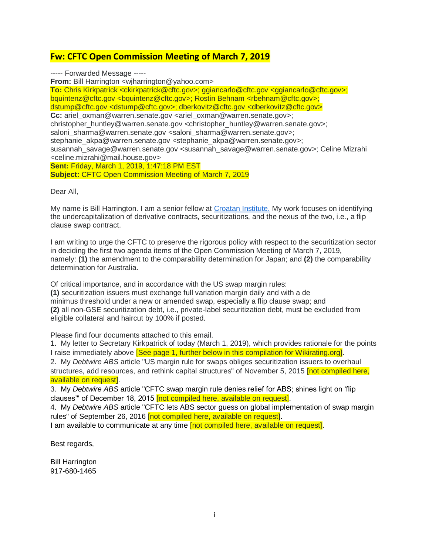## **Fw: CFTC Open Commission Meeting of March 7, 2019**

----- Forwarded Message -----

**From:** Bill Harrington <wjharrington@yahoo.com>

**To:** Chris Kirkpatrick <ckirkpatrick@cftc.gov>; ggiancarlo@cftc.gov <ggiancarlo@cftc.gov>; bquintenz@cftc.gov <bquintenz@cftc.gov>; Rostin Behnam <rbehnam@cftc.gov>; dstump@cftc.gov <dstump@cftc.gov>; dberkovitz@cftc.gov <dberkovitz@cftc.gov> **Cc:** ariel\_oxman@warren.senate.gov <ariel\_oxman@warren.senate.gov>; christopher\_huntley@warren.senate.gov <christopher\_huntley@warren.senate.gov>; saloni sharma@warren.senate.gov <saloni sharma@warren.senate.gov>; stephanie\_akpa@warren.senate.gov <stephanie\_akpa@warren.senate.gov>; susannah\_savage@warren.senate.gov <susannah\_savage@warren.senate.gov>; Celine Mizrahi <celine.mizrahi@mail.house.gov> **Sent:** Friday, March 1, 2019, 1:47:18 PM EST

**Subject:** CFTC Open Commission Meeting of March 7, 2019

Dear All,

My name is Bill Harrington. I am a senior fellow at [Croatan Institute.](http://www.croataninstitute.org/) My work focuses on identifying the undercapitalization of derivative contracts, securitizations, and the nexus of the two, i.e., a flip clause swap contract.

I am writing to urge the CFTC to preserve the rigorous policy with respect to the securitization sector in deciding the first two agenda items of the Open Commission Meeting of March 7, 2019, namely: **(1)** the amendment to the comparability determination for Japan; and **(2)** the comparability determination for Australia.

Of critical importance, and in accordance with the US swap margin rules: **(1)** securitization issuers must exchange full variation margin daily and with a de minimus threshold under a new or amended swap, especially a flip clause swap; and **(2)** all non-GSE securitization debt, i.e., private-label securitization debt, must be excluded from eligible collateral and haircut by 100% if posted.

Please find four documents attached to this email.

1. My letter to Secretary Kirkpatrick of today (March 1, 2019), which provides rationale for the points I raise immediately above [See page 1, further below in this compilation for Wikirating.org].

2. My *Debtwire ABS* article "US margin rule for swaps obliges securitization issuers to overhaul structures, add resources, and rethink capital structures" of November 5, 2015 **[not compiled here,** available on request].

3. My *Debtwire ABS* article "CFTC swap margin rule denies relief for ABS; shines light on 'flip clauses'" of December 18, 2015 [not compiled here, available on request].

4. My *Debtwire ABS* article "CFTC lets ABS sector guess on global implementation of swap margin rules" of September 26, 2016 **[not compiled here, available on request]**.

I am available to communicate at any time **[not compiled here, available on request]**.

Best regards,

Bill Harrington 917-680-1465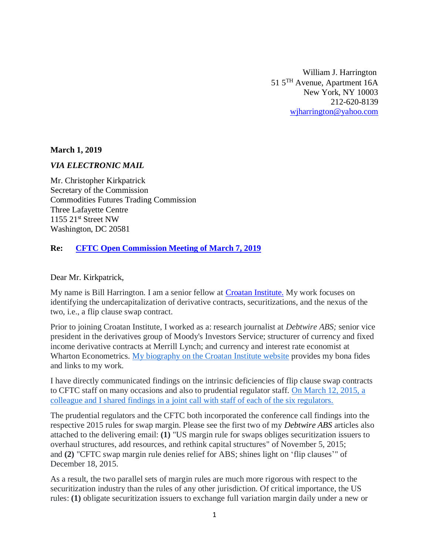William J. Harrington 51 5TH Avenue, Apartment 16A New York, NY 10003 212-620-8139 [wjharrington@yahoo.com](mailto:wjharrington@yahoo.com)

**March 1, 2019**

## *VIA ELECTRONIC MAIL*

Mr. Christopher Kirkpatrick Secretary of the Commission Commodities Futures Trading Commission Three Lafayette Centre 1155 21st Street NW Washington, DC 20581

## **Re: [CFTC Open Commission Meeting of March 7, 2019](https://www.cftc.gov/PressRoom/PressReleases/7879-19)**

Dear Mr. Kirkpatrick,

My name is Bill Harrington. I am a senior fellow at [Croatan Institute.](http://www.croataninstitute.org/) My work focuses on identifying the undercapitalization of derivative contracts, securitizations, and the nexus of the two, i.e., a flip clause swap contract.

Prior to joining Croatan Institute, I worked as a: research journalist at *Debtwire ABS;* senior vice president in the derivatives group of Moody's Investors Service; structurer of currency and fixed income derivative contracts at Merrill Lynch; and currency and interest rate economist at Wharton Econometrics. [My biography on the Croatan Institute website](http://www.croataninstitute.org/william-j-harrington) provides my bona fides and links to my work.

I have directly communicated findings on the intrinsic deficiencies of flip clause swap contracts to CFTC staff on many occasions and also to prudential regulator staff. [On March 12, 2015, a](https://www.federalreserve.gov/newsevents/rr-commpublic/harrington-michalek-call-20150512.pdf)  [colleague and I shared findings in a joint call with staff of each of the six regulators.](https://www.federalreserve.gov/newsevents/rr-commpublic/harrington-michalek-call-20150512.pdf)

The prudential regulators and the CFTC both incorporated the conference call findings into the respective 2015 rules for swap margin. Please see the first two of my *Debtwire ABS* articles also attached to the delivering email: **(1)** "US margin rule for swaps obliges securitization issuers to overhaul structures, add resources, and rethink capital structures" of November 5, 2015; and **(2)** "CFTC swap margin rule denies relief for ABS; shines light on 'flip clauses'" of December 18, 2015.

As a result, the two parallel sets of margin rules are much more rigorous with respect to the securitization industry than the rules of any other jurisdiction. Of critical importance, the US rules: **(1)** obligate securitization issuers to exchange full variation margin daily under a new or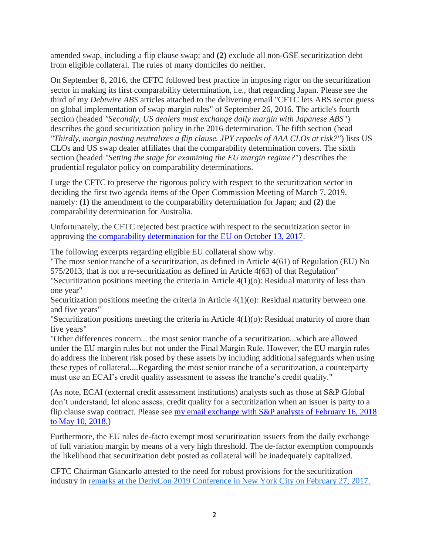amended swap, including a flip clause swap; and **(2)** exclude all non-GSE securitization debt from eligible collateral. The rules of many domiciles do neither.

On September 8, 2016, the CFTC followed best practice in imposing rigor on the securitization sector in making its first comparability determination, i.e., that regarding Japan. Please see the third of my *Debtwire ABS* articles attached to the delivering email "CFTC lets ABS sector guess on global implementation of swap margin rules" of September 26, 2016. The article's fourth section (headed *"Secondly, US dealers must exchange daily margin with Japanese ABS"*) describes the good securitization policy in the 2016 determination. The fifth section (head *"Thirdly, margin posting neutralizes a flip clause. JPY repacks of AAA CLOs at risk?"*) lists US CLOs and US swap dealer affiliates that the comparability determination covers. The sixth section (headed *"Setting the stage for examining the EU margin regime?"*) describes the prudential regulator policy on comparability determinations.

I urge the CFTC to preserve the rigorous policy with respect to the securitization sector in deciding the first two agenda items of the Open Commission Meeting of March 7, 2019, namely: **(1)** the amendment to the comparability determination for Japan; and **(2)** the comparability determination for Australia.

Unfortunately, the CFTC rejected best practice with respect to the securitization sector in approving [the comparability determination for the EU on October 13, 2017.](https://www.cftc.gov/sites/default/files/idc/groups/public/@lrfederalregister/documents/file/2017-22616a.pdf)

The following excerpts regarding eligible EU collateral show why.

"The most senior tranche of a securitization, as defined in Article 4(61) of Regulation (EU) No 575/2013, that is not a re-securitization as defined in Article 4(63) of that Regulation" "Securitization positions meeting the criteria in Article 4(1)(o): Residual maturity of less than

one year"

Securitization positions meeting the criteria in Article 4(1)(o): Residual maturity between one and five years"

"Securitization positions meeting the criteria in Article 4(1)(o): Residual maturity of more than five years"

"Other differences concern... the most senior tranche of a securitization...which are allowed under the EU margin rules but not under the Final Margin Rule. However, the EU margin rules do address the inherent risk posed by these assets by including additional safeguards when using these types of collateral....Regarding the most senior tranche of a securitization, a counterparty must use an ECAI's credit quality assessment to assess the tranche's credit quality."

(As note, ECAI (external credit assessment institutions) analysts such as those at S&P Global don't understand, let alone assess, credit quality for a securitization when an issuer is party to a flip clause swap contract. Please see my email exchange with S&P analysts of February 16, 2018 [to May 10, 2018.\)](https://www.wikirating.org/data/other/20180521_Harrington_J_William_S&P_Violations_of_SEC_rules_in_Rating_US_CLOs_w_Waterfall_Flip_Clauses_US_SLABS_w_Flip_Cause_Swaps_&_Navient.pdf)

Furthermore, the EU rules de-facto exempt most securitization issuers from the daily exchange of full variation margin by means of a very high threshold. The de-factor exemption compounds the likelihood that securitization debt posted as collateral will be inadequately capitalized.

CFTC Chairman Giancarlo attested to the need for robust provisions for the securitization industry in [remarks at the DerivCon 2019 Conference in New York City on February 27, 2017.](https://www.cftc.gov/PressRoom/SpeechesTestimony/opagiancarlo65)